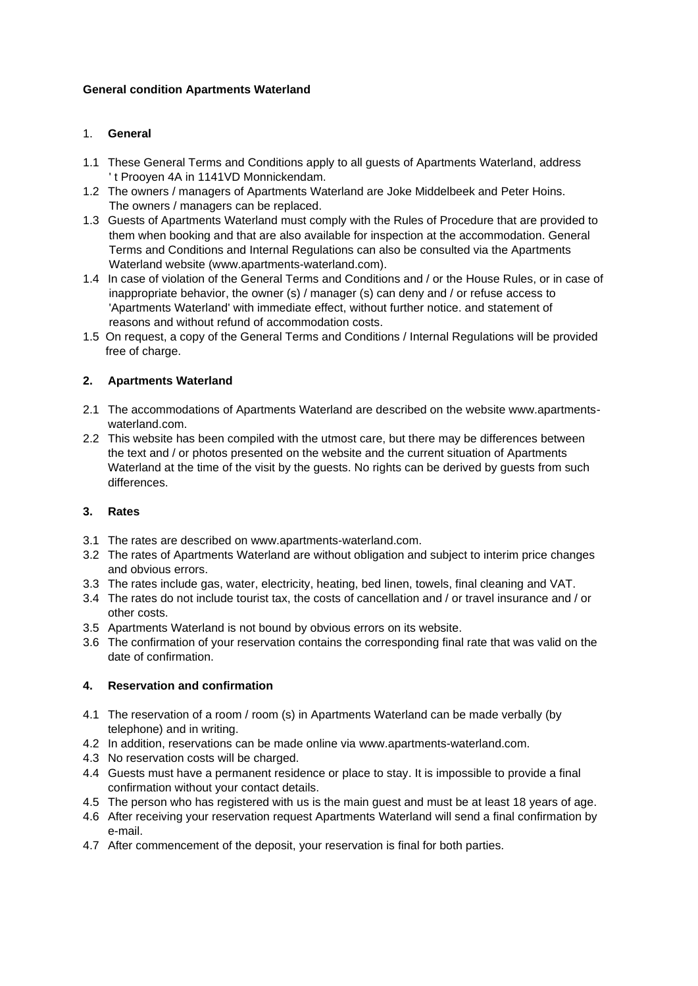### **General condition Apartments Waterland**

# 1. **General**

- 1.1 These General Terms and Conditions apply to all guests of Apartments Waterland, address ' t Prooyen 4A in 1141VD Monnickendam.
- 1.2 The owners / managers of Apartments Waterland are Joke Middelbeek and Peter Hoins. The owners / managers can be replaced.
- 1.3 Guests of Apartments Waterland must comply with the Rules of Procedure that are provided to them when booking and that are also available for inspection at the accommodation. General Terms and Conditions and Internal Regulations can also be consulted via the Apartments Waterland website (www.apartments-waterland.com).
- 1.4 In case of violation of the General Terms and Conditions and / or the House Rules, or in case of inappropriate behavior, the owner (s) / manager (s) can deny and / or refuse access to 'Apartments Waterland' with immediate effect, without further notice. and statement of reasons and without refund of accommodation costs.
- 1.5 On request, a copy of the General Terms and Conditions / Internal Regulations will be provided free of charge.

# **2. Apartments Waterland**

- 2.1 The accommodations of Apartments Waterland are described on the website www.apartments waterland.com.
- 2.2 This website has been compiled with the utmost care, but there may be differences between the text and / or photos presented on the website and the current situation of Apartments Waterland at the time of the visit by the guests. No rights can be derived by guests from such differences.

### **3. Rates**

- 3.1 The rates are described on www.apartments-waterland.com.
- 3.2 The rates of Apartments Waterland are without obligation and subject to interim price changes and obvious errors.
- 3.3 The rates include gas, water, electricity, heating, bed linen, towels, final cleaning and VAT.
- 3.4 The rates do not include tourist tax, the costs of cancellation and / or travel insurance and / or other costs.
- 3.5 Apartments Waterland is not bound by obvious errors on its website.
- 3.6 The confirmation of your reservation contains the corresponding final rate that was valid on the date of confirmation.

### **4. Reservation and confirmation**

- 4.1 The reservation of a room / room (s) in Apartments Waterland can be made verbally (by telephone) and in writing.
- 4.2 In addition, reservations can be made online via www.apartments-waterland.com.
- 4.3 No reservation costs will be charged.
- 4.4 Guests must have a permanent residence or place to stay. It is impossible to provide a final confirmation without your contact details.
- 4.5 The person who has registered with us is the main guest and must be at least 18 years of age.
- 4.6 After receiving your reservation request Apartments Waterland will send a final confirmation by e-mail.
- 4.7 After commencement of the deposit, your reservation is final for both parties.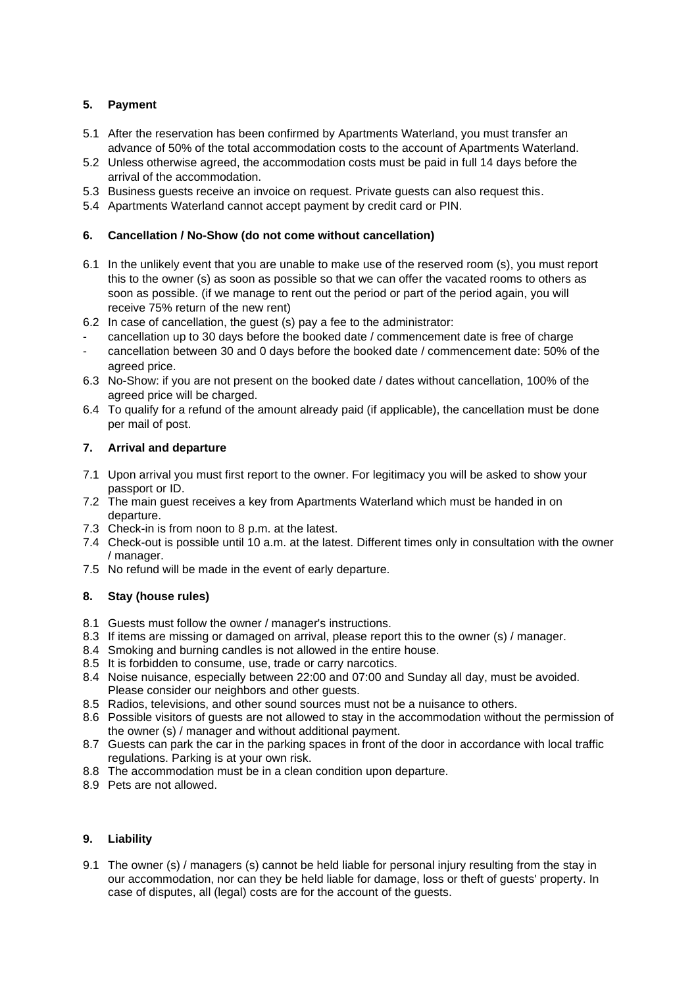# **5. Payment**

- 5.1 After the reservation has been confirmed by Apartments Waterland, you must transfer an advance of 50% of the total accommodation costs to the account of Apartments Waterland.
- 5.2 Unless otherwise agreed, the accommodation costs must be paid in full 14 days before the arrival of the accommodation.
- 5.3 Business guests receive an invoice on request. Private guests can also request this.
- 5.4 Apartments Waterland cannot accept payment by credit card or PIN.

#### **6. Cancellation / No-Show (do not come without cancellation)**

- 6.1 In the unlikely event that you are unable to make use of the reserved room (s), you must report this to the owner (s) as soon as possible so that we can offer the vacated rooms to others as soon as possible. (if we manage to rent out the period or part of the period again, you will receive 75% return of the new rent)
- 6.2 In case of cancellation, the guest (s) pay a fee to the administrator:
- cancellation up to 30 days before the booked date / commencement date is free of charge
- cancellation between 30 and 0 days before the booked date / commencement date: 50% of the agreed price.
- 6.3 No-Show: if you are not present on the booked date / dates without cancellation, 100% of the agreed price will be charged.
- 6.4 To qualify for a refund of the amount already paid (if applicable), the cancellation must be done per mail of post.

#### **7. Arrival and departure**

- 7.1 Upon arrival you must first report to the owner. For legitimacy you will be asked to show your passport or ID.
- 7.2 The main guest receives a key from Apartments Waterland which must be handed in on departure.
- 7.3 Check-in is from noon to 8 p.m. at the latest.
- 7.4 Check-out is possible until 10 a.m. at the latest. Different times only in consultation with the owner / manager.
- 7.5 No refund will be made in the event of early departure.

### **8. Stay (house rules)**

- 8.1 Guests must follow the owner / manager's instructions.
- 8.3 If items are missing or damaged on arrival, please report this to the owner (s) / manager.
- 8.4 Smoking and burning candles is not allowed in the entire house.
- 8.5 It is forbidden to consume, use, trade or carry narcotics.
- 8.4 Noise nuisance, especially between 22:00 and 07:00 and Sunday all day, must be avoided. Please consider our neighbors and other guests.
- 8.5 Radios, televisions, and other sound sources must not be a nuisance to others.
- 8.6 Possible visitors of guests are not allowed to stay in the accommodation without the permission of the owner (s) / manager and without additional payment.
- 8.7 Guests can park the car in the parking spaces in front of the door in accordance with local traffic regulations. Parking is at your own risk.
- 8.8 The accommodation must be in a clean condition upon departure.
- 8.9 Pets are not allowed.

# **9. Liability**

9.1 The owner (s) / managers (s) cannot be held liable for personal injury resulting from the stay in our accommodation, nor can they be held liable for damage, loss or theft of guests' property. In case of disputes, all (legal) costs are for the account of the guests.